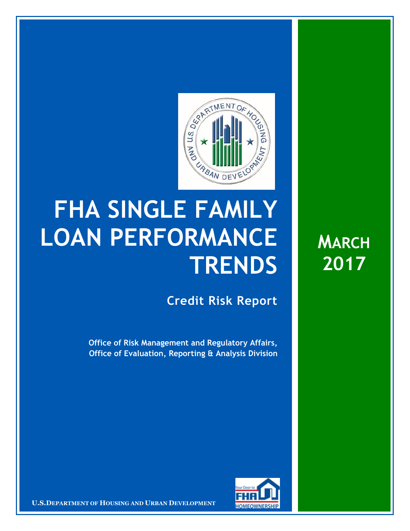

## **FHA SINGLE FAMILY LOAN PERFORMANCE TRENDS**

**Credit Risk Report**

**Office of Risk Management and Regulatory Affairs, Office of Evaluation, Reporting & Analysis Division** 



16 March 20171 **Confidential| For Internal Use Only** 1 **U.S.DEPARTMENT OF HOUSING AND URBAN DEVELOPMENT**

**MARCH 2017**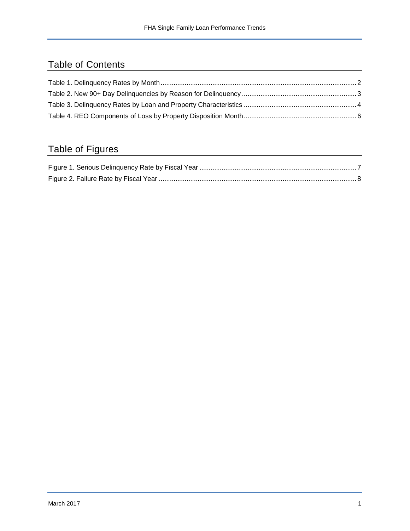## Table of Contents

## Table of Figures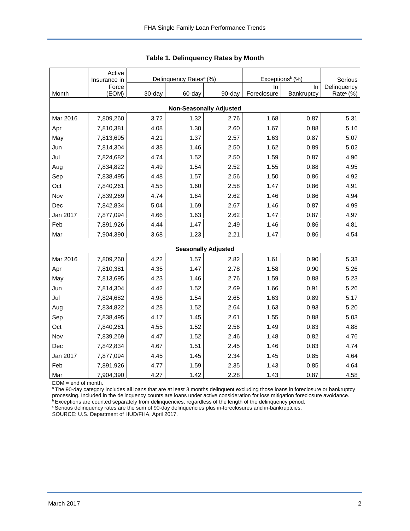|                                | Active<br>Insurance in |        | Delinquency Rates <sup>a</sup> (%) |                            | Exceptions <sup>b</sup> (%) | Serious    |                       |  |  |  |  |
|--------------------------------|------------------------|--------|------------------------------------|----------------------------|-----------------------------|------------|-----------------------|--|--|--|--|
|                                | Force                  |        |                                    |                            | In                          | In         | Delinquency           |  |  |  |  |
| Month                          | (EOM)                  | 30-day | 60-day                             | 90-day                     | Foreclosure                 | Bankruptcy | Rate <sup>c</sup> (%) |  |  |  |  |
| <b>Non-Seasonally Adjusted</b> |                        |        |                                    |                            |                             |            |                       |  |  |  |  |
| Mar 2016                       | 7,809,260              | 3.72   | 1.32                               | 2.76                       | 1.68                        | 0.87       | 5.31                  |  |  |  |  |
| Apr                            | 7,810,381              | 4.08   | 1.30                               | 2.60                       | 1.67                        | 0.88       | 5.16                  |  |  |  |  |
| May                            | 7,813,695              | 4.21   | 1.37                               | 2.57                       | 1.63                        | 0.87       | 5.07                  |  |  |  |  |
| Jun                            | 7,814,304              | 4.38   | 1.46                               | 2.50                       | 1.62                        | 0.89       | 5.02                  |  |  |  |  |
| Jul                            | 7,824,682              | 4.74   | 1.52                               | 2.50                       | 1.59                        | 0.87       | 4.96                  |  |  |  |  |
| Aug                            | 7,834,822              | 4.49   | 1.54                               | 2.52                       | 1.55                        | 0.88       | 4.95                  |  |  |  |  |
| Sep                            | 7,838,495              | 4.48   | 1.57                               | 2.56                       | 1.50                        | 0.86       | 4.92                  |  |  |  |  |
| Oct                            | 7,840,261              | 4.55   | 1.60                               | 2.58                       | 1.47                        | 0.86       | 4.91                  |  |  |  |  |
| Nov                            | 7,839,269              | 4.74   | 1.64                               | 2.62                       | 1.46                        | 0.86       | 4.94                  |  |  |  |  |
| Dec                            | 7,842,834              | 5.04   | 1.69                               | 2.67                       | 1.46                        | 0.87       | 4.99                  |  |  |  |  |
| Jan 2017                       | 7,877,094              | 4.66   | 1.63                               | 2.62                       | 1.47                        | 0.87       | 4.97                  |  |  |  |  |
| Feb                            | 7,891,926              | 4.44   | 1.47                               | 2.49                       | 1.46                        | 0.86       | 4.81                  |  |  |  |  |
| Mar                            | 7,904,390              | 3.68   | 1.23                               | 2.21                       | 1.47                        | 0.86       | 4.54                  |  |  |  |  |
|                                |                        |        |                                    | <b>Seasonally Adjusted</b> |                             |            |                       |  |  |  |  |
| Mar 2016                       | 7,809,260              | 4.22   | 1.57                               | 2.82                       | 1.61                        | 0.90       | 5.33                  |  |  |  |  |
| Apr                            | 7,810,381              | 4.35   | 1.47                               | 2.78                       | 1.58                        | 0.90       | 5.26                  |  |  |  |  |
| May                            | 7,813,695              | 4.23   | 1.46                               | 2.76                       | 1.59                        | 0.88       | 5.23                  |  |  |  |  |
| Jun                            | 7,814,304              | 4.42   | 1.52                               | 2.69                       | 1.66                        | 0.91       | 5.26                  |  |  |  |  |
| Jul                            | 7,824,682              | 4.98   | 1.54                               | 2.65                       | 1.63                        | 0.89       | 5.17                  |  |  |  |  |
| Aug                            | 7,834,822              | 4.28   | 1.52                               | 2.64                       | 1.63                        | 0.93       | 5.20                  |  |  |  |  |
| Sep                            | 7,838,495              | 4.17   | 1.45                               | 2.61                       | 1.55                        | 0.88       | 5.03                  |  |  |  |  |
| Oct                            | 7,840,261              | 4.55   | 1.52                               | 2.56                       | 1.49                        | 0.83       | 4.88                  |  |  |  |  |
| Nov                            | 7,839,269              | 4.47   | 1.52                               | 2.46                       | 1.48                        | 0.82       | 4.76                  |  |  |  |  |
| Dec                            | 7,842,834              | 4.67   | 1.51                               | 2.45                       | 1.46                        | 0.83       | 4.74                  |  |  |  |  |
| Jan 2017                       | 7,877,094              | 4.45   | 1.45                               | 2.34                       | 1.45                        | 0.85       | 4.64                  |  |  |  |  |
| Feb                            | 7,891,926              | 4.77   | 1.59                               | 2.35                       | 1.43                        | 0.85       | 4.64                  |  |  |  |  |
| Mar                            | 7,904,390              | 4.27   | 1.42                               | 2.28                       | 1.43                        | 0.87       | 4.58                  |  |  |  |  |

<span id="page-2-0"></span>

EOM = end of month.

<sup>a</sup>The 90-day category includes all loans that are at least 3 months delinquent excluding those loans in foreclosure or bankruptcy processing. Included in the delinquency counts are loans under active consideration for loss mitigation foreclosure avoidance.

<sup>b</sup> Exceptions are counted separately from delinquencies, regardless of the length of the delinquency period.

<sup>c</sup> Serious delinquency rates are the sum of 90-day delinquencies plus in-foreclosures and in-bankruptcies.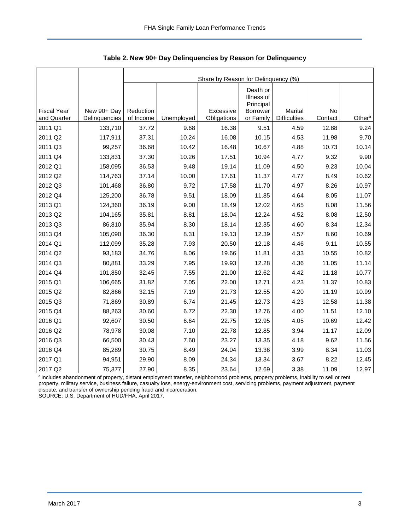<span id="page-3-0"></span>

|                                   |                              | Share by Reason for Delinquency (%) |            |                          |                                     |                                       |               |                    |  |  |  |
|-----------------------------------|------------------------------|-------------------------------------|------------|--------------------------|-------------------------------------|---------------------------------------|---------------|--------------------|--|--|--|
|                                   |                              |                                     |            |                          | Death or<br>Illness of<br>Principal |                                       |               |                    |  |  |  |
| <b>Fiscal Year</b><br>and Quarter | New 90+ Day<br>Delinquencies | Reduction<br>of Income              | Unemployed | Excessive<br>Obligations | <b>Borrower</b><br>or Family        | <b>Marital</b><br><b>Difficulties</b> | No<br>Contact | Other <sup>a</sup> |  |  |  |
| 2011 Q1                           | 133,710                      | 37.72                               | 9.68       | 16.38                    | 9.51                                | 4.59                                  | 12.88         | 9.24               |  |  |  |
| 2011 Q2                           | 117,911                      | 37.31                               | 10.24      | 16.08                    | 10.15                               | 4.53                                  | 11.98         | 9.70               |  |  |  |
| 2011 Q3                           | 99,257                       | 36.68                               | 10.42      | 16.48                    | 10.67                               | 4.88                                  | 10.73         | 10.14              |  |  |  |
| 2011 Q4                           | 133,831                      | 37.30                               | 10.26      | 17.51                    | 10.94                               | 4.77                                  | 9.32          | 9.90               |  |  |  |
| 2012 Q1                           | 158,095                      | 36.53                               | 9.48       | 19.14                    | 11.09                               | 4.50                                  | 9.23          | 10.04              |  |  |  |
| 2012 Q2                           | 114,763                      | 37.14                               | 10.00      | 17.61                    | 11.37                               | 4.77                                  | 8.49          | 10.62              |  |  |  |
| 2012 Q3                           | 101,468                      | 36.80                               | 9.72       | 17.58                    | 11.70                               | 4.97                                  | 8.26          | 10.97              |  |  |  |
| 2012 Q4                           | 125,200                      | 36.78                               | 9.51       | 18.09                    | 11.85                               | 4.64                                  | 8.05          | 11.07              |  |  |  |
| 2013 Q1                           | 124,360                      | 36.19                               | 9.00       | 18.49                    | 12.02                               | 4.65                                  | 8.08          | 11.56              |  |  |  |
| 2013 Q2                           | 104,165                      | 35.81                               | 8.81       | 18.04                    | 12.24                               | 4.52                                  | 8.08          | 12.50              |  |  |  |
| 2013 Q3                           | 86,810                       | 35.94                               | 8.30       | 18.14                    | 12.35                               | 4.60                                  | 8.34          | 12.34              |  |  |  |
| 2013 Q4                           | 105,090                      | 36.30                               | 8.31       | 19.13                    | 12.39                               | 4.57                                  | 8.60          | 10.69              |  |  |  |
| 2014 Q1                           | 112,099                      | 35.28                               | 7.93       | 20.50                    | 12.18                               | 4.46                                  | 9.11          | 10.55              |  |  |  |
| 2014 Q2                           | 93,183                       | 34.76                               | 8.06       | 19.66                    | 11.81                               | 4.33                                  | 10.55         | 10.82              |  |  |  |
| 2014 Q3                           | 80,881                       | 33.29                               | 7.95       | 19.93                    | 12.28                               | 4.36                                  | 11.05         | 11.14              |  |  |  |
| 2014 Q4                           | 101,850                      | 32.45                               | 7.55       | 21.00                    | 12.62                               | 4.42                                  | 11.18         | 10.77              |  |  |  |
| 2015 Q1                           | 106,665                      | 31.82                               | 7.05       | 22.00                    | 12.71                               | 4.23                                  | 11.37         | 10.83              |  |  |  |
| 2015 Q2                           | 82,866                       | 32.15                               | 7.19       | 21.73                    | 12.55                               | 4.20                                  | 11.19         | 10.99              |  |  |  |
| 2015 Q3                           | 71,869                       | 30.89                               | 6.74       | 21.45                    | 12.73                               | 4.23                                  | 12.58         | 11.38              |  |  |  |
| 2015 Q4                           | 88,263                       | 30.60                               | 6.72       | 22.30                    | 12.76                               | 4.00                                  | 11.51         | 12.10              |  |  |  |
| 2016 Q1                           | 92,607                       | 30.50                               | 6.64       | 22.75                    | 12.95                               | 4.05                                  | 10.69         | 12.42              |  |  |  |
| 2016 Q2                           | 78,978                       | 30.08                               | 7.10       | 22.78                    | 12.85                               | 3.94                                  | 11.17         | 12.09              |  |  |  |
| 2016 Q3                           | 66,500                       | 30.43                               | 7.60       | 23.27                    | 13.35                               | 4.18                                  | 9.62          | 11.56              |  |  |  |
| 2016 Q4                           | 85,289                       | 30.75                               | 8.49       | 24.04                    | 13.36                               | 3.99                                  | 8.34          | 11.03              |  |  |  |
| 2017 Q1                           | 94,951                       | 29.90                               | 8.09       | 24.34                    | 13.34                               | 3.67                                  | 8.22          | 12.45              |  |  |  |
| 2017 Q2                           | 75,377                       | 27.90                               | 8.35       | 23.64                    | 12.69                               | 3.38                                  | 11.09         | 12.97              |  |  |  |

<span id="page-3-1"></span>**Table 2. New 90+ Day Delinquencies by Reason for Delinquency** 

a Includes abandonment of property, distant employment transfer, neighborhood problems, property problems, inability to sell or rent property, military service, business failure, casualty loss, energy-environment cost, servicing problems, payment adjustment, payment dispute, and transfer of ownership pending fraud and incarceration.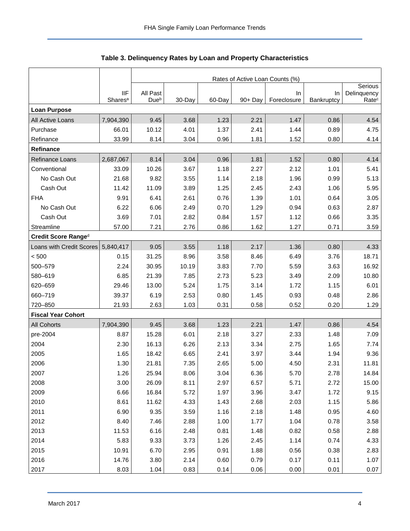<span id="page-4-0"></span>

|                           |                                   | Rates of Active Loan Counts (%) |        |        |            |                   |                  |                                  |  |  |  |
|---------------------------|-----------------------------------|---------------------------------|--------|--------|------------|-------------------|------------------|----------------------------------|--|--|--|
|                           |                                   |                                 |        |        |            | Serious           |                  |                                  |  |  |  |
|                           | <b>IIF</b><br>Shares <sup>a</sup> | All Past<br>Due <sup>b</sup>    | 30-Day | 60-Day | $90 + Day$ | In<br>Foreclosure | In<br>Bankruptcy | Delinquency<br>Rate <sup>c</sup> |  |  |  |
| <b>Loan Purpose</b>       |                                   |                                 |        |        |            |                   |                  |                                  |  |  |  |
| All Active Loans          | 7,904,390                         | 9.45                            | 3.68   | 1.23   | 2.21       | 1.47              | 0.86             | 4.54                             |  |  |  |
| Purchase                  | 66.01                             | 10.12                           | 4.01   | 1.37   | 2.41       | 1.44              | 0.89             | 4.75                             |  |  |  |
| Refinance                 | 33.99                             | 8.14                            | 3.04   | 0.96   | 1.81       | 1.52              | 0.80             | 4.14                             |  |  |  |
| Refinance                 |                                   |                                 |        |        |            |                   |                  |                                  |  |  |  |
| Refinance Loans           | 2,687,067                         | 8.14                            | 3.04   | 0.96   | 1.81       | 1.52              | 0.80             | 4.14                             |  |  |  |
| Conventional              | 33.09                             | 10.26                           | 3.67   | 1.18   | 2.27       | 2.12              | 1.01             | 5.41                             |  |  |  |
| No Cash Out               | 21.68                             | 9.82                            | 3.55   | 1.14   | 2.18       | 1.96              | 0.99             | 5.13                             |  |  |  |
| Cash Out                  | 11.42                             | 11.09                           | 3.89   | 1.25   | 2.45       | 2.43              | 1.06             | 5.95                             |  |  |  |
| <b>FHA</b>                | 9.91                              | 6.41                            | 2.61   | 0.76   | 1.39       | 1.01              | 0.64             | 3.05                             |  |  |  |
| No Cash Out               | 6.22                              | 6.06                            | 2.49   | 0.70   | 1.29       | 0.94              | 0.63             | 2.87                             |  |  |  |
| Cash Out                  | 3.69                              | 7.01                            | 2.82   | 0.84   | 1.57       | 1.12              | 0.66             | 3.35                             |  |  |  |
| Streamline                | 57.00                             | 7.21                            | 2.76   | 0.86   | 1.62       | 1.27              | 0.71             | 3.59                             |  |  |  |
| Credit Score Ranged       |                                   |                                 |        |        |            |                   |                  |                                  |  |  |  |
| Loans with Credit Scores  | 5,840,417                         | 9.05                            | 3.55   | 1.18   | 2.17       | 1.36              | 0.80             | 4.33                             |  |  |  |
| < 500                     | 0.15                              | 31.25                           | 8.96   | 3.58   | 8.46       | 6.49              | 3.76             | 18.71                            |  |  |  |
| 500-579                   | 2.24                              | 30.95                           | 10.19  | 3.83   | 7.70       | 5.59              | 3.63             | 16.92                            |  |  |  |
| 580-619                   | 6.85                              | 21.39                           | 7.85   | 2.73   | 5.23       | 3.49              | 2.09             | 10.80                            |  |  |  |
| 620-659                   | 29.46                             | 13.00                           | 5.24   | 1.75   | 3.14       | 1.72              | 1.15             | 6.01                             |  |  |  |
| 660-719                   | 39.37                             | 6.19                            | 2.53   | 0.80   | 1.45       | 0.93              | 0.48             | 2.86                             |  |  |  |
| 720-850                   | 21.93                             | 2.63                            | 1.03   | 0.31   | 0.58       | 0.52              | 0.20             | 1.29                             |  |  |  |
| <b>Fiscal Year Cohort</b> |                                   |                                 |        |        |            |                   |                  |                                  |  |  |  |
| <b>All Cohorts</b>        | 7,904,390                         | 9.45                            | 3.68   | 1.23   | 2.21       | 1.47              | 0.86             | 4.54                             |  |  |  |
| pre-2004                  | 8.87                              | 15.28                           | 6.01   | 2.18   | 3.27       | 2.33              | 1.48             | 7.09                             |  |  |  |
| 2004                      | 2.30                              | 16.13                           | 6.26   | 2.13   | 3.34       | 2.75              | 1.65             | 7.74                             |  |  |  |
| 2005                      | 1.65                              | 18.42                           | 6.65   | 2.41   | 3.97       | 3.44              | 1.94             | 9.36                             |  |  |  |
| 2006                      | 1.30                              | 21.81                           | 7.35   | 2.65   | 5.00       | 4.50              | 2.31             | 11.81                            |  |  |  |
| 2007                      | 1.26                              | 25.94                           | 8.06   | 3.04   | 6.36       | 5.70              | 2.78             | 14.84                            |  |  |  |
| 2008                      | 3.00                              | 26.09                           | 8.11   | 2.97   | 6.57       | 5.71              | 2.72             | 15.00                            |  |  |  |
| 2009                      | 6.66                              | 16.84                           | 5.72   | 1.97   | 3.96       | 3.47              | 1.72             | 9.15                             |  |  |  |
| 2010                      | 8.61                              | 11.62                           | 4.33   | 1.43   | 2.68       | 2.03              | 1.15             | 5.86                             |  |  |  |
| 2011                      | 6.90                              | 9.35                            | 3.59   | 1.16   | 2.18       | 1.48              | 0.95             | 4.60                             |  |  |  |
| 2012                      | 8.40                              | 7.46                            | 2.88   | 1.00   | 1.77       | 1.04              | 0.78             | 3.58                             |  |  |  |
| 2013                      | 11.53                             | 6.16                            | 2.48   | 0.81   | 1.48       | 0.82              | 0.58             | 2.88                             |  |  |  |
| 2014                      | 5.83                              | 9.33                            | 3.73   | 1.26   | 2.45       | 1.14              | 0.74             | 4.33                             |  |  |  |
| 2015                      | 10.91                             | 6.70                            | 2.95   | 0.91   | 1.88       | 0.56              | 0.38             | 2.83                             |  |  |  |
| 2016                      | 14.76                             | 3.80                            | 2.14   | 0.60   | 0.79       | 0.17              | 0.11             | 1.07                             |  |  |  |
| 2017                      | 8.03                              | 1.04                            | 0.83   | 0.14   | 0.06       | 0.00              | 0.01             | 0.07                             |  |  |  |

<span id="page-4-1"></span>**Table 3. Delinquency Rates by Loan and Property Characteristics**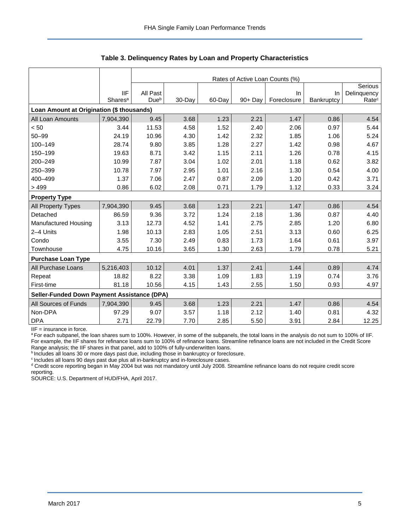|                                                    |                     | Rates of Active Loan Counts (%) |        |        |         |             |            |                   |  |  |  |
|----------------------------------------------------|---------------------|---------------------------------|--------|--------|---------|-------------|------------|-------------------|--|--|--|
|                                                    |                     |                                 |        |        |         |             |            |                   |  |  |  |
|                                                    | <b>IIF</b>          | All Past                        |        |        |         | In.         | In.        | Delinquency       |  |  |  |
|                                                    | Shares <sup>a</sup> | Due <sup>b</sup>                | 30-Day | 60-Day | 90+ Day | Foreclosure | Bankruptcy | Rate <sup>c</sup> |  |  |  |
| Loan Amount at Origination (\$ thousands)          |                     |                                 |        |        |         |             |            |                   |  |  |  |
| All Loan Amounts                                   | 7,904,390           | 9.45                            | 3.68   | 1.23   | 2.21    | 1.47        | 0.86       | 4.54              |  |  |  |
| < 50                                               | 3.44                | 11.53                           | 4.58   | 1.52   | 2.40    | 2.06        | 0.97       | 5.44              |  |  |  |
| $50 - 99$                                          | 24.19               | 10.96                           | 4.30   | 1.42   | 2.32    | 1.85        | 1.06       | 5.24              |  |  |  |
| 100-149                                            | 28.74               | 9.80                            | 3.85   | 1.28   | 2.27    | 1.42        | 0.98       | 4.67              |  |  |  |
| 150-199                                            | 19.63               | 8.71                            | 3.42   | 1.15   | 2.11    | 1.26        | 0.78       | 4.15              |  |  |  |
| 200-249                                            | 10.99               | 7.87                            | 3.04   | 1.02   | 2.01    | 1.18        | 0.62       | 3.82              |  |  |  |
| 250-399                                            | 10.78               | 7.97                            | 2.95   | 1.01   | 2.16    | 1.30        | 0.54       | 4.00              |  |  |  |
| 400-499                                            | 1.37                | 7.06                            | 2.47   | 0.87   | 2.09    | 1.20        | 0.42       | 3.71              |  |  |  |
| >499                                               | 0.86                | 6.02                            | 2.08   | 0.71   | 1.79    | 1.12        | 0.33       | 3.24              |  |  |  |
| <b>Property Type</b>                               |                     |                                 |        |        |         |             |            |                   |  |  |  |
| All Property Types                                 | 7,904,390           | 9.45                            | 3.68   | 1.23   | 2.21    | 1.47        | 0.86       | 4.54              |  |  |  |
| Detached                                           | 86.59               | 9.36                            | 3.72   | 1.24   | 2.18    | 1.36        | 0.87       | 4.40              |  |  |  |
| Manufactured Housing                               | 3.13                | 12.73                           | 4.52   | 1.41   | 2.75    | 2.85        | 1.20       | 6.80              |  |  |  |
| 2-4 Units                                          | 1.98                | 10.13                           | 2.83   | 1.05   | 2.51    | 3.13        | 0.60       | 6.25              |  |  |  |
| Condo                                              | 3.55                | 7.30                            | 2.49   | 0.83   | 1.73    | 1.64        | 0.61       | 3.97              |  |  |  |
| Townhouse                                          | 4.75                | 10.16                           | 3.65   | 1.30   | 2.63    | 1.79        | 0.78       | 5.21              |  |  |  |
| <b>Purchase Loan Type</b>                          |                     |                                 |        |        |         |             |            |                   |  |  |  |
| All Purchase Loans                                 | 5,216,403           | 10.12                           | 4.01   | 1.37   | 2.41    | 1.44        | 0.89       | 4.74              |  |  |  |
| Repeat                                             | 18.82               | 8.22                            | 3.38   | 1.09   | 1.83    | 1.19        | 0.74       | 3.76              |  |  |  |
| First-time                                         | 81.18               | 10.56                           | 4.15   | 1.43   | 2.55    | 1.50        | 0.93       | 4.97              |  |  |  |
| <b>Seller-Funded Down Payment Assistance (DPA)</b> |                     |                                 |        |        |         |             |            |                   |  |  |  |
| All Sources of Funds                               | 7,904,390           | 9.45                            | 3.68   | 1.23   | 2.21    | 1.47        | 0.86       | 4.54              |  |  |  |
| Non-DPA                                            | 97.29               | 9.07                            | 3.57   | 1.18   | 2.12    | 1.40        | 0.81       | 4.32              |  |  |  |
| <b>DPA</b>                                         | 2.71                | 22.79                           | 7.70   | 2.85   | 5.50    | 3.91        | 2.84       | 12.25             |  |  |  |

**Table 3. Delinquency Rates by Loan and Property Characteristics** 

IIF = insurance in force.

a For each subpanel, the loan shares sum to 100%. However, in some of the subpanels, the total loans in the analysis do not sum to 100% of IIF. For example, the IIF shares for refinance loans sum to 100% of refinance loans. Streamline refinance loans are not included in the Credit Score Range analysis; the IIF shares in that panel, add to 100% of fully-underwritten loans.

b Includes all loans 30 or more days past due, including those in bankruptcy or foreclosure.

<sup>c</sup> Includes all loans 90 days past due plus all in-bankruptcy and in-foreclosure cases.

<sup>d</sup> Credit score reporting began in May 2004 but was not mandatory until July 2008. Streamline refinance loans do not require credit score reporting.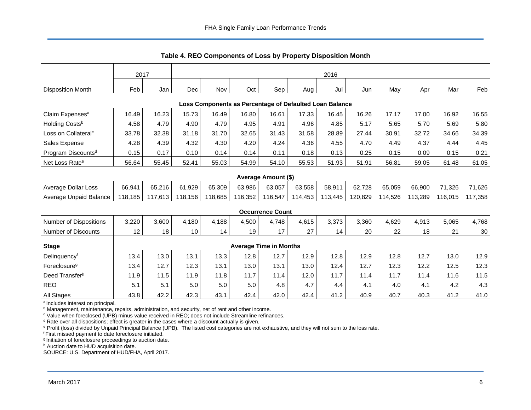<span id="page-6-0"></span>

|                                                         | 2017    |         |            |         |         |                               |         | 2016    |         |         |         |         |         |
|---------------------------------------------------------|---------|---------|------------|---------|---------|-------------------------------|---------|---------|---------|---------|---------|---------|---------|
| <b>Disposition Month</b>                                | Feb     | Jan     | <b>Dec</b> | Nov     | Oct     | Sep!                          | Aug     | Jul     | Jun     | May     | Apr     | Mar     | Feb     |
| Loss Components as Percentage of Defaulted Loan Balance |         |         |            |         |         |                               |         |         |         |         |         |         |         |
| Claim Expenses <sup>a</sup>                             | 16.49   | 16.23   | 15.73      | 16.49   | 16.80   | 16.61                         | 17.33   | 16.45   | 16.26   | 17.17   | 17.00   | 16.92   | 16.55   |
| Holding Costs <sup>b</sup>                              | 4.58    | 4.79    | 4.90       | 4.79    | 4.95    | 4.91                          | 4.96    | 4.85    | 5.17    | 5.65    | 5.70    | 5.69    | 5.80    |
| Loss on Collateral <sup>c</sup>                         | 33.78   | 32.38   | 31.18      | 31.70   | 32.65   | 31.43                         | 31.58   | 28.89   | 27.44   | 30.91   | 32.72   | 34.66   | 34.39   |
| Sales Expense                                           | 4.28    | 4.39    | 4.32       | 4.30    | 4.20    | 4.24                          | 4.36    | 4.55    | 4.70    | 4.49    | 4.37    | 4.44    | 4.45    |
| Program Discounts <sup>d</sup>                          | 0.15    | 0.17    | 0.10       | 0.14    | 0.14    | 0.11                          | 0.18    | 0.13    | 0.25    | 0.15    | 0.09    | 0.15    | 0.21    |
| Net Loss Rate <sup>e</sup>                              | 56.64   | 55.45   | 52.41      | 55.03   | 54.99   | 54.10                         | 55.53   | 51.93   | 51.91   | 56.81   | 59.05   | 61.48   | 61.05   |
| <b>Average Amount (\$)</b>                              |         |         |            |         |         |                               |         |         |         |         |         |         |         |
| Average Dollar Loss                                     | 66,941  | 65,216  | 61,929     | 65,309  | 63,986  | 63,057                        | 63,558  | 58,911  | 62,728  | 65,059  | 66,900  | 71,326  | 71,626  |
| Average Unpaid Balance                                  | 118,185 | 117,613 | 118,156    | 118,685 | 116,352 | 116,547                       | 114,453 | 113,445 | 120.829 | 114,526 | 113,289 | 116,015 | 117,358 |
|                                                         |         |         |            |         |         | <b>Occurrence Count</b>       |         |         |         |         |         |         |         |
| <b>Number of Dispositions</b>                           | 3,220   | 3,600   | 4,180      | 4,188   | 4,500   | 4,748                         | 4,615   | 3,373   | 3,360   | 4,629   | 4,913   | 5,065   | 4,768   |
| <b>Number of Discounts</b>                              | 12      | 18      | 10         | 14      | 19      | 17                            | 27      | 14      | 20      | 22      | 18      | 21      | 30      |
| <b>Stage</b>                                            |         |         |            |         |         | <b>Average Time in Months</b> |         |         |         |         |         |         |         |
| Delinquencyf                                            | 13.4    | 13.0    | 13.1       | 13.3    | 12.8    | 12.7                          | 12.9    | 12.8    | 12.9    | 12.8    | 12.7    | 13.0    | 12.9    |
| Foreclosure <sup>g</sup>                                | 13.4    | 12.7    | 12.3       | 13.1    | 13.0    | 13.1                          | 13.0    | 12.4    | 12.7    | 12.3    | 12.2    | 12.5    | 12.3    |
| Deed Transferh                                          | 11.9    | 11.5    | 11.9       | 11.8    | 11.7    | 11.4                          | 12.0    | 11.7    | 11.4    | 11.7    | 11.4    | 11.6    | 11.5    |
| <b>REO</b>                                              | 5.1     | 5.1     | 5.0        | 5.0     | 5.0     | 4.8                           | 4.7     | 4.4     | 4.1     | 4.0     | 4.1     | 4.2     | 4.3     |
| All Stages                                              | 43.8    | 42.2    | 42.3       | 43.1    | 42.4    | 42.0                          | 42.4    | 41.2    | 40.9    | 40.7    | 40.3    | 41.2    | 41.0    |

<span id="page-6-1"></span>**Table 4. REO Components of Loss by Property Disposition Month** 

<sup>a</sup> Includes interest on principal.

<sup>b</sup> Management, maintenance, repairs, administration, and security, net of rent and other income.

<sup>c</sup> Value when foreclosed (UPB) minus value received in REO; does not include Streamline refinances.

<sup>d</sup> Rate over all dispositions; effect is greater in the cases where a discount actually is given.

e Profit (loss) divided by Unpaid Principal Balance (UPB). The listed cost categories are not exhaustive, and they will not sum to the loss rate.

<sup>f</sup>First missed payment to date foreclosure initiated.

g Initiation of foreclosure proceedings to auction date.

h Auction date to HUD acquisition date.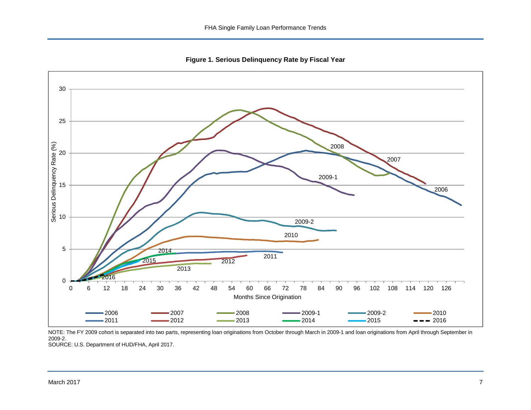<span id="page-7-1"></span>**Figure 1. Serious Delinquency Rate by Fiscal Year** 

<span id="page-7-0"></span>

NOTE: The FY 2009 cohort is separated into two parts, representing loan originations from October through March in 2009-1 and loan originations from April through September in 2009-2.